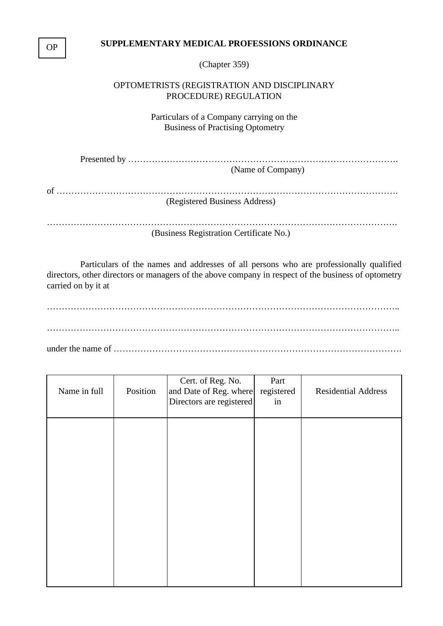## **SUPPLEMENTARY MEDICAL PROFESSIONS ORDINANCE**

(Chapter 359)

## OPTOMETRISTS (REGISTRATION AND DISCIPLINARY PROCEDURE) REGULATION

Particulars of a Company carrying on the Business of Practising Optometry

Presented by ………………………………………………………………………………. (Name of Company)

of …………………………………………………………………………………………………….

(Registered Business Address)

………………………………………………………………………………………………………. (Business Registration Certificate No.)

Particulars of the names and addresses of all persons who are professionally qualified directors, other directors or managers of the above company in respect of the business of optometry carried on by it at

……………………………………………………………………………………………………….. ………………………………………………………………………………………………………..

under the name of …………………………………………………………………………………….

| Name in full | Position | Cert. of Reg. No.<br>and Date of Reg. where<br>Directors are registered | Part<br>registered<br>in | <b>Residential Address</b> |  |
|--------------|----------|-------------------------------------------------------------------------|--------------------------|----------------------------|--|
|              |          |                                                                         |                          |                            |  |
|              |          |                                                                         |                          |                            |  |
|              |          |                                                                         |                          |                            |  |
|              |          |                                                                         |                          |                            |  |
|              |          |                                                                         |                          |                            |  |

OP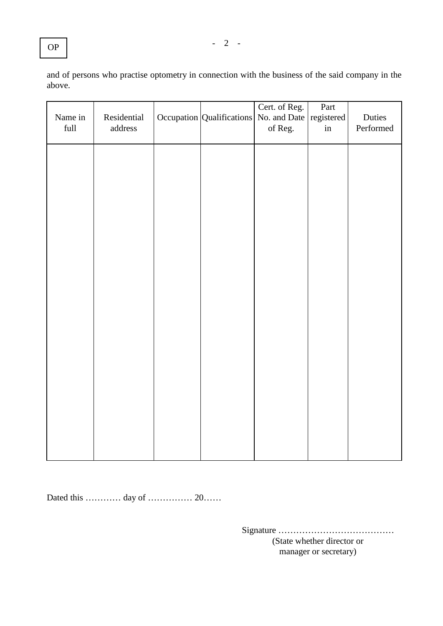| Name in<br>$\operatorname{full}$ | Residential<br>address | Occupation Qualifications | Cert. of Reg.<br>No. and Date registered<br>of Reg. | Part<br>in | Duties<br>Performed |
|----------------------------------|------------------------|---------------------------|-----------------------------------------------------|------------|---------------------|
|                                  |                        |                           |                                                     |            |                     |
|                                  |                        |                           |                                                     |            |                     |
|                                  |                        |                           |                                                     |            |                     |
|                                  |                        |                           |                                                     |            |                     |
|                                  |                        |                           |                                                     |            |                     |
|                                  |                        |                           |                                                     |            |                     |
|                                  |                        |                           |                                                     |            |                     |
|                                  |                        |                           |                                                     |            |                     |

Dated this ………… day of …………… 20……

Signature ………………………………… (State whether director or manager or secretary)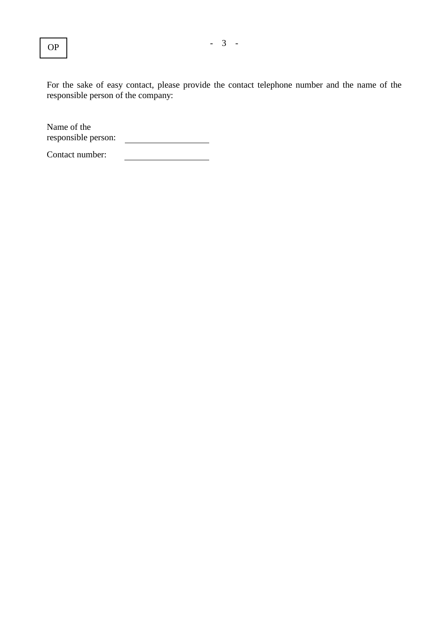For the sake of easy contact, please provide the contact telephone number and the name of the responsible person of the company:

Name of the responsible person: <u> 1990 - John Stone, amerikansk politiker</u>

Contact number: